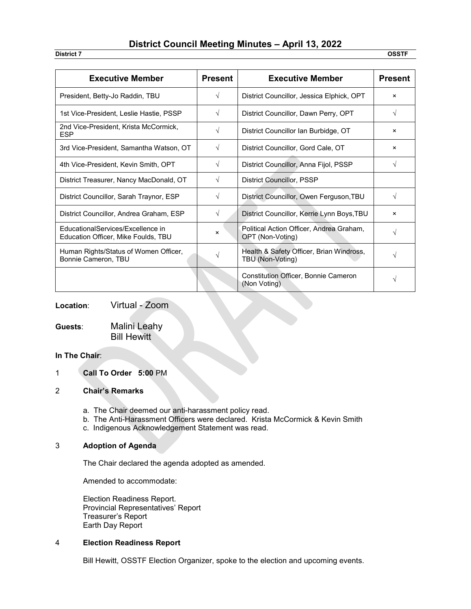## **District Council Meeting Minutes – April 13, 2022**

**District 7 OSSTF**

| <b>Executive Member</b>                                                  | <b>Present</b> | <b>Executive Member</b>                                      | <b>Present</b>            |
|--------------------------------------------------------------------------|----------------|--------------------------------------------------------------|---------------------------|
| President, Betty-Jo Raddin, TBU                                          | $\sqrt{ }$     | District Councillor, Jessica Elphick, OPT                    | $\times$                  |
| 1st Vice-President, Leslie Hastie, PSSP                                  | $\sqrt{ }$     | District Councillor, Dawn Perry, OPT                         | V                         |
| 2nd Vice-President, Krista McCormick,<br><b>ESP</b>                      | V              | District Councillor Ian Burbidge, OT                         | ×                         |
| 3rd Vice-President, Samantha Watson, OT                                  | $\sqrt{}$      | District Councillor, Gord Cale, OT                           | $\times$                  |
| 4th Vice-President, Kevin Smith, OPT                                     | $\sqrt{}$      | District Councillor, Anna Fijol, PSSP                        | $\sqrt{ }$                |
| District Treasurer, Nancy MacDonald, OT                                  | $\sqrt{ }$     | <b>District Councillor, PSSP</b>                             |                           |
| District Councillor, Sarah Traynor, ESP                                  | V              | District Councillor, Owen Ferguson, TBU                      | V                         |
| District Councillor, Andrea Graham, ESP                                  | $\sqrt{ }$     | District Councillor, Kerrie Lynn Boys, TBU                   | $\boldsymbol{\mathsf{x}}$ |
| EducationalServices/Excellence in<br>Education Officer, Mike Foulds, TBU | $\times$       | Political Action Officer, Andrea Graham,<br>OPT (Non-Voting) | V                         |
| Human Rights/Status of Women Officer,<br>Bonnie Cameron, TBU             |                | Health & Safety Officer, Brian Windross,<br>TBU (Non-Voting) | V                         |
|                                                                          |                | Constitution Officer, Bonnie Cameron<br>(Non Voting)         | V                         |

**Location**: Virtual - Zoom

**Guests**: Malini Leahy Bill Hewitt

### **In The Chair**:

1 **Call To Order 5:00** PM

#### 2 **Chair's Remarks**

- a. The Chair deemed our anti-harassment policy read.
- b. The Anti-Harassment Officers were declared. Krista McCormick & Kevin Smith
- c. Indigenous Acknowledgement Statement was read.

#### 3 **Adoption of Agenda**

The Chair declared the agenda adopted as amended.

Amended to accommodate:

Election Readiness Report. Provincial Representatives' Report Treasurer's Report Earth Day Report

#### 4 **Election Readiness Report**

Bill Hewitt, OSSTF Election Organizer, spoke to the election and upcoming events.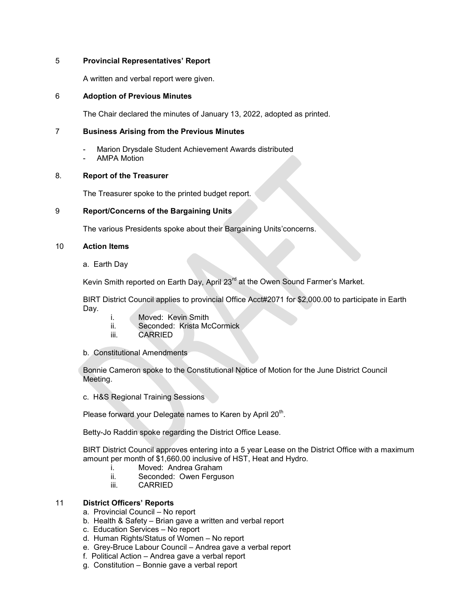#### 5 **Provincial Representatives' Report**

A written and verbal report were given.

#### 6 **Adoption of Previous Minutes**

The Chair declared the minutes of January 13, 2022, adopted as printed.

#### 7 **Business Arising from the Previous Minutes**

- Marion Drysdale Student Achievement Awards distributed
- **AMPA Motion**

#### 8. **Report of the Treasurer**

The Treasurer spoke to the printed budget report.

#### 9 **Report/Concerns of the Bargaining Units**

The various Presidents spoke about their Bargaining Units'concerns.

#### 10 **Action Items**

a. Earth Day

Kevin Smith reported on Earth Day, April 23<sup>rd</sup> at the Owen Sound Farmer's Market.

BIRT District Council applies to provincial Office Acct#2071 for \$2,000.00 to participate in Earth Day.

- 
- i. Moved: Kevin Smith<br>ii. Seconded: Krista Mo ii. Seconded: Krista McCormick<br>iii. CARRIED
- **CARRIED**
- b. Constitutional Amendments

Bonnie Cameron spoke to the Constitutional Notice of Motion for the June District Council Meeting.

c. H&S Regional Training Sessions

Please forward your Delegate names to Karen by April 20<sup>th</sup>.

Betty-Jo Raddin spoke regarding the District Office Lease.

BIRT District Council approves entering into a 5 year Lease on the District Office with a maximum amount per month of \$1,660.00 inclusive of HST, Heat and Hydro.

- i. Moved: Andrea Graham
- ii. Seconded: Owen Ferguson
- iii. CARRIED

### 11 **District Officers' Reports**

- a. Provincial Council No report
- b. Health & Safety Brian gave a written and verbal report
- c. Education Services No report
- d. Human Rights/Status of Women No report
- e. Grey-Bruce Labour Council Andrea gave a verbal report
- f. Political Action Andrea gave a verbal report
- g. Constitution Bonnie gave a verbal report